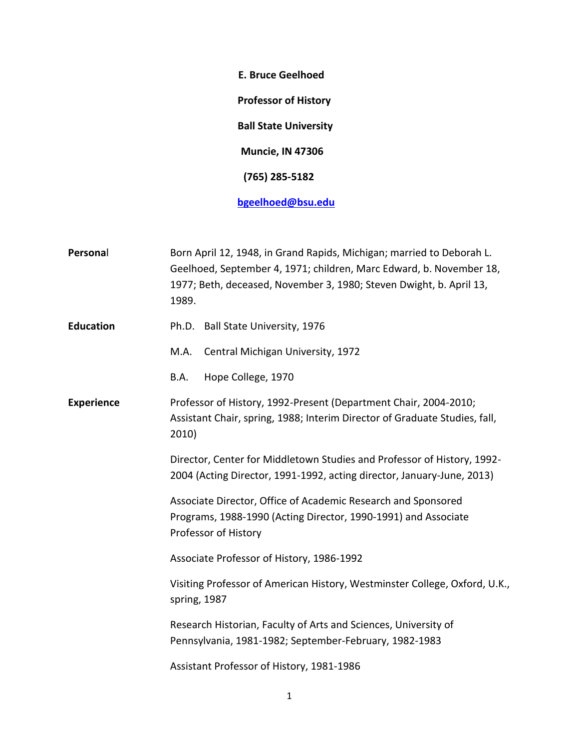**E. Bruce Geelhoed Professor of History Ball State University Muncie, IN 47306 (765) 285-5182 [bgeelhoed@bsu.edu](mailto:bgeelhoed@bsu.edu)**

**Personal Born April 12, 1948, in Grand Rapids, Michigan; married to Deborah L.** Geelhoed, September 4, 1971; children, Marc Edward, b. November 18, 1977; Beth, deceased, November 3, 1980; Steven Dwight, b. April 13, 1989. Education Ph.D. Ball State University, 1976 M.A. Central Michigan University, 1972 B.A. Hope College, 1970 **Experience** Professor of History, 1992-Present (Department Chair, 2004-2010; Assistant Chair, spring, 1988; Interim Director of Graduate Studies, fall, 2010) Director, Center for Middletown Studies and Professor of History, 1992- 2004 (Acting Director, 1991-1992, acting director, January-June, 2013) Associate Director, Office of Academic Research and Sponsored Programs, 1988-1990 (Acting Director, 1990-1991) and Associate Professor of History Associate Professor of History, 1986-1992 Visiting Professor of American History, Westminster College, Oxford, U.K., spring, 1987 Research Historian, Faculty of Arts and Sciences, University of Pennsylvania, 1981-1982; September-February, 1982-1983 Assistant Professor of History, 1981-1986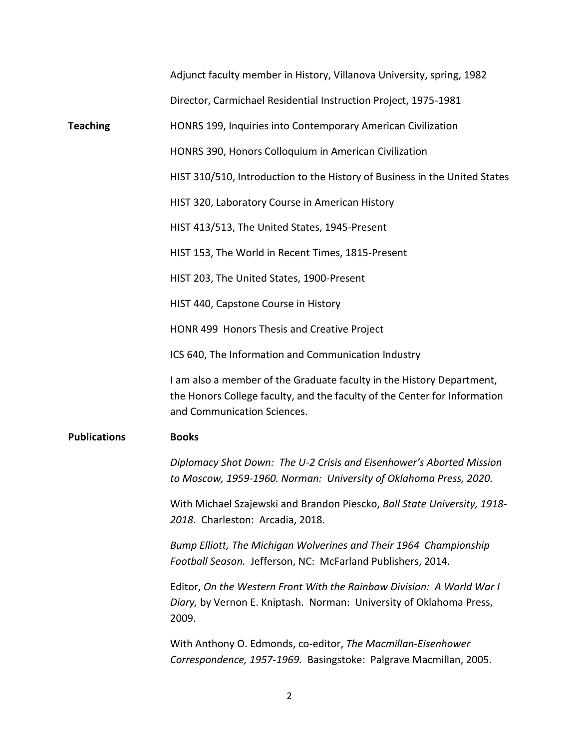|                     | Adjunct faculty member in History, Villanova University, spring, 1982                                                                                                             |
|---------------------|-----------------------------------------------------------------------------------------------------------------------------------------------------------------------------------|
|                     | Director, Carmichael Residential Instruction Project, 1975-1981                                                                                                                   |
| <b>Teaching</b>     | HONRS 199, Inquiries into Contemporary American Civilization                                                                                                                      |
|                     | HONRS 390, Honors Colloquium in American Civilization                                                                                                                             |
|                     | HIST 310/510, Introduction to the History of Business in the United States                                                                                                        |
|                     | HIST 320, Laboratory Course in American History                                                                                                                                   |
|                     | HIST 413/513, The United States, 1945-Present                                                                                                                                     |
|                     | HIST 153, The World in Recent Times, 1815-Present                                                                                                                                 |
|                     | HIST 203, The United States, 1900-Present                                                                                                                                         |
|                     | HIST 440, Capstone Course in History                                                                                                                                              |
|                     | HONR 499 Honors Thesis and Creative Project                                                                                                                                       |
|                     | ICS 640, The Information and Communication Industry                                                                                                                               |
|                     | I am also a member of the Graduate faculty in the History Department,<br>the Honors College faculty, and the faculty of the Center for Information<br>and Communication Sciences. |
| <b>Publications</b> | <b>Books</b>                                                                                                                                                                      |
|                     | Diplomacy Shot Down: The U-2 Crisis and Eisenhower's Aborted Mission<br>to Moscow, 1959-1960. Norman: University of Oklahoma Press, 2020.                                         |
|                     | With Michael Szajewski and Brandon Piescko, Ball State University, 1918-<br>2018. Charleston: Arcadia, 2018.                                                                      |
|                     | Bump Elliott, The Michigan Wolverines and Their 1964 Championship<br>Football Season. Jefferson, NC: McFarland Publishers, 2014.                                                  |
|                     | Editor, On the Western Front With the Rainbow Division: A World War I<br>Diary, by Vernon E. Kniptash. Norman: University of Oklahoma Press,<br>2009.                             |
|                     | With Anthony O. Edmonds, co-editor, The Macmillan-Eisenhower                                                                                                                      |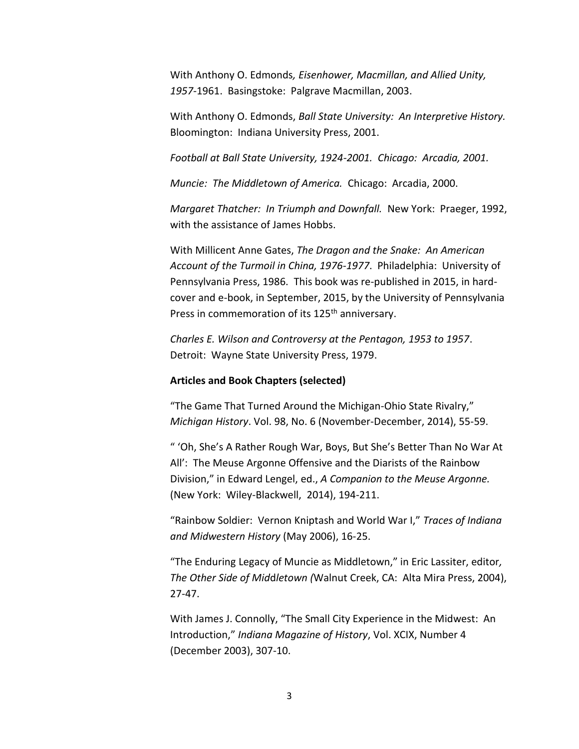With Anthony O. Edmonds*, Eisenhower, Macmillan, and Allied Unity, 1957-*1961. Basingstoke: Palgrave Macmillan, 2003.

With Anthony O. Edmonds, *Ball State University: An Interpretive History.* Bloomington: Indiana University Press, 2001.

*Football at Ball State University, 1924-2001. Chicago: Arcadia, 2001.*

*Muncie: The Middletown of America.* Chicago: Arcadia, 2000.

*Margaret Thatcher: In Triumph and Downfall.* New York: Praeger, 1992, with the assistance of James Hobbs.

With Millicent Anne Gates, *The Dragon and the Snake: An American Account of the Turmoil in China, 1976-1977*. Philadelphia: University of Pennsylvania Press, 1986. This book was re-published in 2015, in hardcover and e-book, in September, 2015, by the University of Pennsylvania Press in commemoration of its 125<sup>th</sup> anniversary.

*Charles E. Wilson and Controversy at the Pentagon, 1953 to 1957*. Detroit: Wayne State University Press, 1979.

## **Articles and Book Chapters (selected)**

"The Game That Turned Around the Michigan-Ohio State Rivalry," *Michigan History*. Vol. 98, No. 6 (November-December, 2014), 55-59.

" 'Oh, She's A Rather Rough War, Boys, But She's Better Than No War At All': The Meuse Argonne Offensive and the Diarists of the Rainbow Division," in Edward Lengel, ed., *A Companion to the Meuse Argonne.* (New York: Wiley-Blackwell, 2014), 194-211.

"Rainbow Soldier: Vernon Kniptash and World War I," *Traces of Indiana and Midwestern History* (May 2006), 16-25.

"The Enduring Legacy of Muncie as Middletown," in Eric Lassiter, editor*, The Other Side of Mid*d*letown (*Walnut Creek, CA: Alta Mira Press, 2004), 27-47.

With James J. Connolly, "The Small City Experience in the Midwest: An Introduction," *Indiana Magazine of History*, Vol. XCIX, Number 4 (December 2003), 307-10.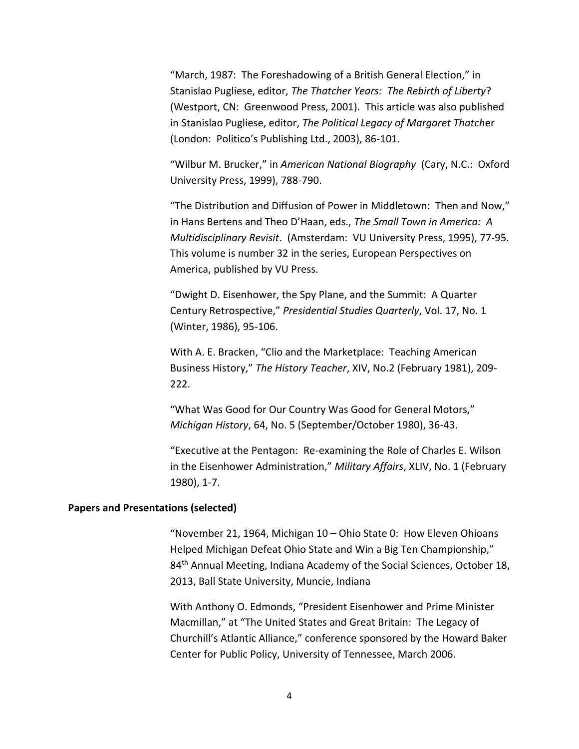"March, 1987: The Foreshadowing of a British General Election," in Stanislao Pugliese, editor, *The Thatcher Years: The Rebirth of Liberty*? (Westport, CN: Greenwood Press, 2001). This article was also published in Stanislao Pugliese, editor, *The Political Legacy of Margaret Thatch*er (London: Politico's Publishing Ltd., 2003), 86-101.

"Wilbur M. Brucker," in *American National Biography* (Cary, N.C.: Oxford University Press, 1999), 788-790.

"The Distribution and Diffusion of Power in Middletown: Then and Now," in Hans Bertens and Theo D'Haan, eds., *The Small Town in America: A Multidisciplinary Revisit*. (Amsterdam: VU University Press, 1995), 77-95. This volume is number 32 in the series, European Perspectives on America, published by VU Press.

"Dwight D. Eisenhower, the Spy Plane, and the Summit: A Quarter Century Retrospective," *Presidential Studies Quarterly*, Vol. 17, No. 1 (Winter, 1986), 95-106.

With A. E. Bracken, "Clio and the Marketplace: Teaching American Business History," *The History Teacher*, XIV, No.2 (February 1981), 209- 222.

"What Was Good for Our Country Was Good for General Motors," *Michigan History*, 64, No. 5 (September/October 1980), 36-43.

"Executive at the Pentagon: Re-examining the Role of Charles E. Wilson in the Eisenhower Administration," *Military Affairs*, XLIV, No. 1 (February 1980), 1-7.

#### **Papers and Presentations (selected)**

"November 21, 1964, Michigan  $10 - Ohio$  State 0: How Eleven Ohioans Helped Michigan Defeat Ohio State and Win a Big Ten Championship," 84<sup>th</sup> Annual Meeting, Indiana Academy of the Social Sciences, October 18, 2013, Ball State University, Muncie, Indiana

With Anthony O. Edmonds, "President Eisenhower and Prime Minister Macmillan," at "The United States and Great Britain: The Legacy of Churchill's Atlantic Alliance," conference sponsored by the Howard Baker Center for Public Policy, University of Tennessee, March 2006.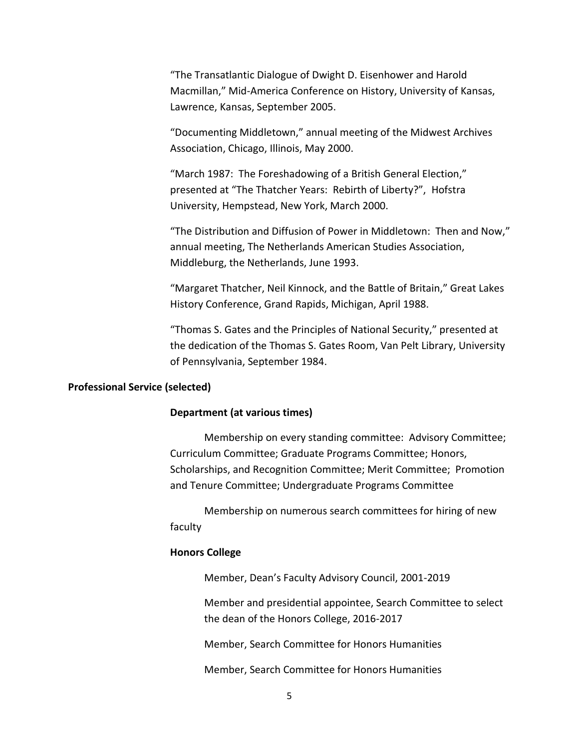"The Transatlantic Dialogue of Dwight D. Eisenhower and Harold Macmillan," Mid-America Conference on History, University of Kansas, Lawrence, Kansas, September 2005.

"Documenting Middletown," annual meeting of the Midwest Archives Association, Chicago, Illinois, May 2000.

"March 1987: The Foreshadowing of a British General Election," presented at "The Thatcher Years: Rebirth of Liberty?", Hofstra University, Hempstead, New York, March 2000.

"The Distribution and Diffusion of Power in Middletown: Then and Now," annual meeting, The Netherlands American Studies Association, Middleburg, the Netherlands, June 1993.

"Margaret Thatcher, Neil Kinnock, and the Battle of Britain," Great Lakes History Conference, Grand Rapids, Michigan, April 1988.

"Thomas S. Gates and the Principles of National Security," presented at the dedication of the Thomas S. Gates Room, Van Pelt Library, University of Pennsylvania, September 1984.

### **Professional Service (selected)**

#### **Department (at various times)**

Membership on every standing committee: Advisory Committee; Curriculum Committee; Graduate Programs Committee; Honors, Scholarships, and Recognition Committee; Merit Committee; Promotion and Tenure Committee; Undergraduate Programs Committee

Membership on numerous search committees for hiring of new faculty

## **Honors College**

Member, Dean's Faculty Advisory Council, 2001-2019

Member and presidential appointee, Search Committee to select the dean of the Honors College, 2016-2017

Member, Search Committee for Honors Humanities

Member, Search Committee for Honors Humanities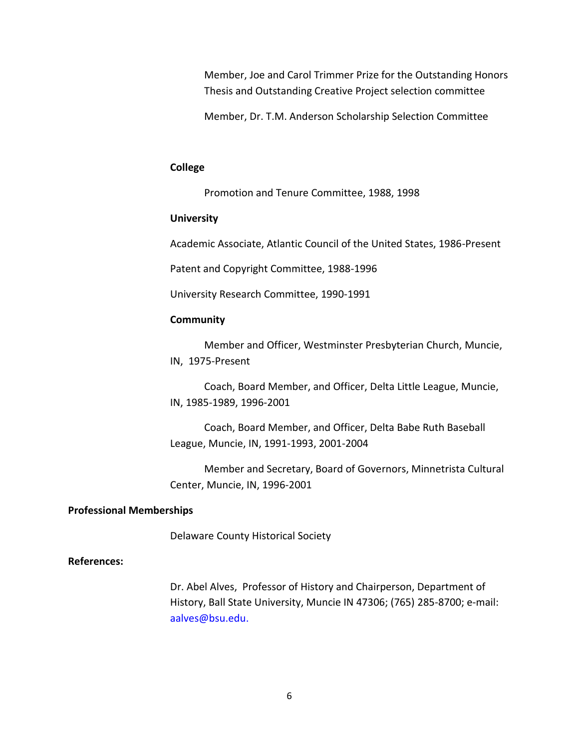Member, Joe and Carol Trimmer Prize for the Outstanding Honors Thesis and Outstanding Creative Project selection committee

Member, Dr. T.M. Anderson Scholarship Selection Committee

### **College**

Promotion and Tenure Committee, 1988, 1998

### **University**

Academic Associate, Atlantic Council of the United States, 1986-Present

Patent and Copyright Committee, 1988-1996

University Research Committee, 1990-1991

#### **Community**

Member and Officer, Westminster Presbyterian Church, Muncie, IN, 1975-Present

Coach, Board Member, and Officer, Delta Little League, Muncie, IN, 1985-1989, 1996-2001

Coach, Board Member, and Officer, Delta Babe Ruth Baseball League, Muncie, IN, 1991-1993, 2001-2004

Member and Secretary, Board of Governors, Minnetrista Cultural Center, Muncie, IN, 1996-2001

## **Professional Memberships**

Delaware County Historical Society

# **References:**

Dr. Abel Alves, Professor of History and Chairperson, Department of History, Ball State University, Muncie IN 47306; (765) 285-8700; e-mail: [aalves@bsu.edu.](mailto:aalves@bsu.edu)